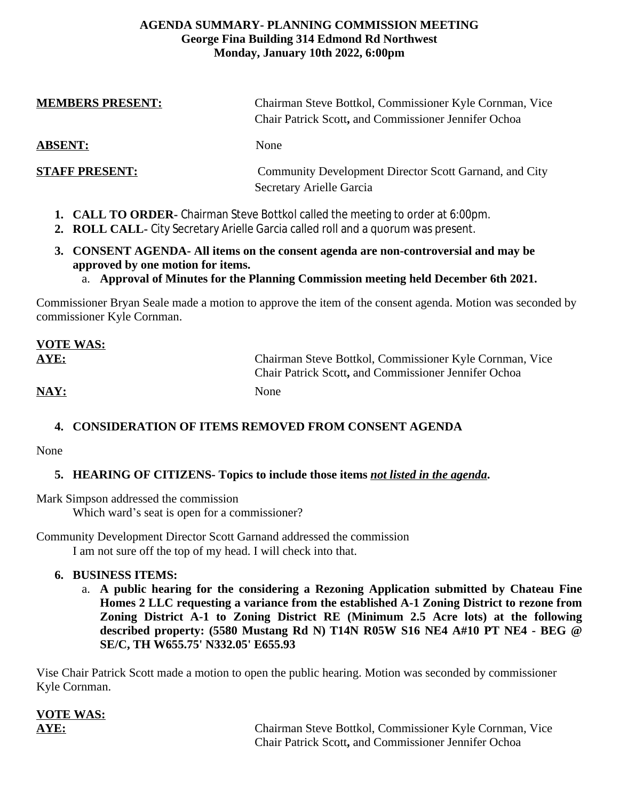#### **AGENDA SUMMARY- PLANNING COMMISSION MEETING George Fina Building 314 Edmond Rd Northwest Monday, January 10th 2022, 6:00pm**

| <b>MEMBERS PRESENT:</b>                                                                                                                                              | Chairman Steve Bottkol, Commissioner Kyle Cornman, Vice<br>Chair Patrick Scott, and Commissioner Jennifer Ochoa |
|----------------------------------------------------------------------------------------------------------------------------------------------------------------------|-----------------------------------------------------------------------------------------------------------------|
| <b>ABSENT:</b>                                                                                                                                                       | None                                                                                                            |
| <b>STAFF PRESENT:</b>                                                                                                                                                | Community Development Director Scott Garnand, and City<br>Secretary Arielle Garcia                              |
| 1. CALL TO ORDER- Chairman Steve Bottkol called the meeting to order at 6:00pm.<br>2. ROLL CALL- City Secretary Arielle Garcia called roll and a quorum was present. |                                                                                                                 |

- **3. CONSENT AGENDA- All items on the consent agenda are non-controversial and may be approved by one motion for items.**
	- a. **Approval of Minutes for the Planning Commission meeting held December 6th 2021.**

Commissioner Bryan Seale made a motion to approve the item of the consent agenda. Motion was seconded by commissioner Kyle Cornman.

| <b>VOTE WAS:</b> |                                                                                                                        |
|------------------|------------------------------------------------------------------------------------------------------------------------|
| AYE:             | Chairman Steve Bottkol, Commissioner Kyle Cornman, Vice<br><b>Chair Patrick Scott, and Commissioner Jennifer Ochoa</b> |
| NAY:             | <b>None</b>                                                                                                            |

## **4. CONSIDERATION OF ITEMS REMOVED FROM CONSENT AGENDA**

None

## **5. HEARING OF CITIZENS- Topics to include those items** *not listed in the agenda***.**

Mark Simpson addressed the commission

Which ward's seat is open for a commissioner?

Community Development Director Scott Garnand addressed the commission I am not sure off the top of my head. I will check into that.

#### **6. BUSINESS ITEMS:**

**VOTE WAS:**

a. **A public hearing for the considering a Rezoning Application submitted by Chateau Fine Homes 2 LLC requesting a variance from the established A-1 Zoning District to rezone from Zoning District A-1 to Zoning District RE (Minimum 2.5 Acre lots) at the following described property: (5580 Mustang Rd N) T14N R05W S16 NE4 A#10 PT NE4 - BEG @ SE/C, TH W655.75' N332.05' E655.93** 

Vise Chair Patrick Scott made a motion to open the public hearing. Motion was seconded by commissioner Kyle Cornman.

**AYE:** Chairman Steve Bottkol, Commissioner Kyle Cornman, Vice Chair Patrick Scott**,** and Commissioner Jennifer Ochoa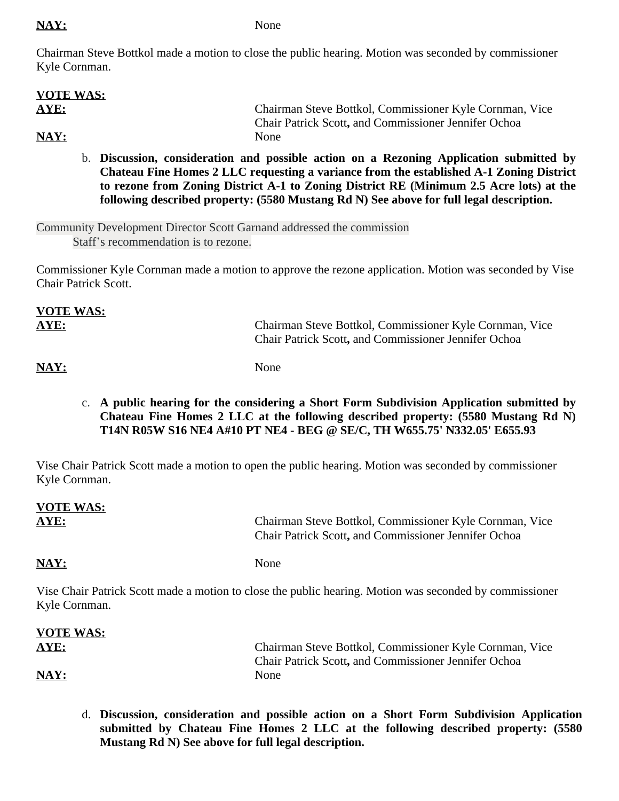### NAY: None

Chairman Steve Bottkol made a motion to close the public hearing. Motion was seconded by commissioner Kyle Cornman.

| <b>VOTE WAS:</b> |                                                             |
|------------------|-------------------------------------------------------------|
| <b>AYE:</b>      | Chairman Steve Bottkol, Commissioner Kyle Cornman, Vice     |
|                  | <b>Chair Patrick Scott, and Commissioner Jennifer Ochoa</b> |
| NAY:             | None                                                        |
|                  |                                                             |

b. **Discussion, consideration and possible action on a Rezoning Application submitted by Chateau Fine Homes 2 LLC requesting a variance from the established A-1 Zoning District to rezone from Zoning District A-1 to Zoning District RE (Minimum 2.5 Acre lots) at the following described property: (5580 Mustang Rd N) See above for full legal description.**

Community Development Director Scott Garnand addressed the commission Staff's recommendation is to rezone.

Commissioner Kyle Cornman made a motion to approve the rezone application. Motion was seconded by Vise Chair Patrick Scott.

| <b>VOTE WAS:</b> |                                                                                                                 |
|------------------|-----------------------------------------------------------------------------------------------------------------|
| AYE:             | Chairman Steve Bottkol, Commissioner Kyle Cornman, Vice<br>Chair Patrick Scott, and Commissioner Jennifer Ochoa |

NAY: None

 $U(0)$ 

c. **A public hearing for the considering a Short Form Subdivision Application submitted by Chateau Fine Homes 2 LLC at the following described property: (5580 Mustang Rd N) T14N R05W S16 NE4 A#10 PT NE4 - BEG @ SE/C, TH W655.75' N332.05' E655.93**

Vise Chair Patrick Scott made a motion to open the public hearing. Motion was seconded by commissioner Kyle Cornman.

| <b>VOTE WAS:</b><br>AYE: | Chairman Steve Bottkol, Commissioner Kyle Cornman, Vice<br>Chair Patrick Scott, and Commissioner Jennifer Ochoa |
|--------------------------|-----------------------------------------------------------------------------------------------------------------|
| NAY:                     | None                                                                                                            |
| Kyle Cornman.            | Vise Chair Patrick Scott made a motion to close the public hearing. Motion was seconded by commissioner         |

| VOTE WAS: |                                                             |
|-----------|-------------------------------------------------------------|
| AYE:      | Chairman Steve Bottkol, Commissioner Kyle Cornman, Vice     |
|           | <b>Chair Patrick Scott, and Commissioner Jennifer Ochoa</b> |
| NAY:      | None                                                        |

d. **Discussion, consideration and possible action on a Short Form Subdivision Application submitted by Chateau Fine Homes 2 LLC at the following described property: (5580 Mustang Rd N) See above for full legal description.**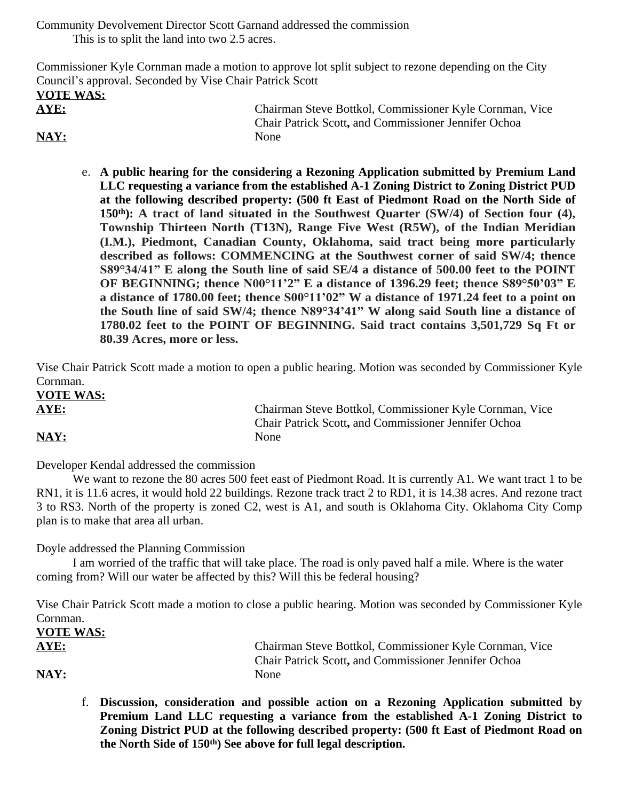Community Devolvement Director Scott Garnand addressed the commission This is to split the land into two 2.5 acres.

Commissioner Kyle Cornman made a motion to approve lot split subject to rezone depending on the City Council's approval. Seconded by Vise Chair Patrick Scott **VOTE WAS: AYE:** Chairman Steve Bottkol, Commissioner Kyle Cornman, Vice Chair Patrick Scott**,** and Commissioner Jennifer Ochoa NAY: None

e. **A public hearing for the considering a Rezoning Application submitted by Premium Land LLC requesting a variance from the established A-1 Zoning District to Zoning District PUD at the following described property: (500 ft East of Piedmont Road on the North Side of 150th): A tract of land situated in the Southwest Quarter (SW/4) of Section four (4), Township Thirteen North (T13N), Range Five West (R5W), of the Indian Meridian (I.M.), Piedmont, Canadian County, Oklahoma, said tract being more particularly described as follows: COMMENCING at the Southwest corner of said SW/4; thence S89°34/41" E along the South line of said SE/4 a distance of 500.00 feet to the POINT OF BEGINNING; thence N00°11'2" E a distance of 1396.29 feet; thence S89°50'03" E a distance of 1780.00 feet; thence S00°11'02" W a distance of 1971.24 feet to a point on the South line of said SW/4; thence N89°34'41" W along said South line a distance of 1780.02 feet to the POINT OF BEGINNING. Said tract contains 3,501,729 Sq Ft or 80.39 Acres, more or less.** 

Vise Chair Patrick Scott made a motion to open a public hearing. Motion was seconded by Commissioner Kyle Cornman. **VOTE WAS:**

**AYE:** Chairman Steve Bottkol, Commissioner Kyle Cornman, Vice Chair Patrick Scott**,** and Commissioner Jennifer Ochoa NAY: None

Developer Kendal addressed the commission

We want to rezone the 80 acres 500 feet east of Piedmont Road. It is currently A1. We want tract 1 to be RN1, it is 11.6 acres, it would hold 22 buildings. Rezone track tract 2 to RD1, it is 14.38 acres. And rezone tract 3 to RS3. North of the property is zoned C2, west is A1, and south is Oklahoma City. Oklahoma City Comp plan is to make that area all urban.

Doyle addressed the Planning Commission

I am worried of the traffic that will take place. The road is only paved half a mile. Where is the water coming from? Will our water be affected by this? Will this be federal housing?

Vise Chair Patrick Scott made a motion to close a public hearing. Motion was seconded by Commissioner Kyle Cornman.

| <b>VOTE WAS:</b>          |                                                             |
|---------------------------|-------------------------------------------------------------|
| AYE:                      | Chairman Steve Bottkol, Commissioner Kyle Cornman, Vice     |
|                           | <b>Chair Patrick Scott, and Commissioner Jennifer Ochoa</b> |
| $\overline{\text{MAX}}$ : | <b>None</b>                                                 |

f. **Discussion, consideration and possible action on a Rezoning Application submitted by Premium Land LLC requesting a variance from the established A-1 Zoning District to Zoning District PUD at the following described property: (500 ft East of Piedmont Road on the North Side of 150th) See above for full legal description.**